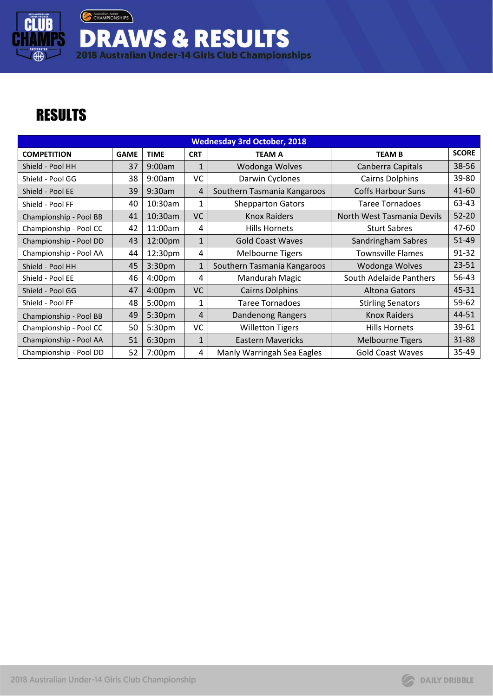

**DRAWS & RESULTS**<br>2018 Australian Under-14 Girls Club Championships

## **RESULTS**

| <b>Wednesday 3rd October, 2018</b> |             |                    |              |                             |                            |              |  |  |  |
|------------------------------------|-------------|--------------------|--------------|-----------------------------|----------------------------|--------------|--|--|--|
| <b>COMPETITION</b>                 | <b>GAME</b> | <b>TIME</b>        | <b>CRT</b>   | <b>TEAM A</b>               | <b>TEAM B</b>              | <b>SCORE</b> |  |  |  |
| Shield - Pool HH                   | 37          | 9:00am             | $\mathbf{1}$ | Wodonga Wolves              | Canberra Capitals          | 38-56        |  |  |  |
| Shield - Pool GG                   | 38          | 9:00am             | VC           | Darwin Cyclones             | <b>Cairns Dolphins</b>     | 39-80        |  |  |  |
| Shield - Pool EE                   | 39          | 9:30am             | 4            | Southern Tasmania Kangaroos | <b>Coffs Harbour Suns</b>  | 41-60        |  |  |  |
| Shield - Pool FF                   | 40          | 10:30am            | $\mathbf{1}$ | <b>Shepparton Gators</b>    | Taree Tornadoes            | 63-43        |  |  |  |
| Championship - Pool BB             | 41          | 10:30am            | VC           | <b>Knox Raiders</b>         | North West Tasmania Devils | $52 - 20$    |  |  |  |
| Championship - Pool CC             | 42          | 11:00am            | 4            | Hills Hornets               | <b>Sturt Sabres</b>        | 47-60        |  |  |  |
| Championship - Pool DD             | 43          | 12:00pm            | $\mathbf{1}$ | <b>Gold Coast Waves</b>     | Sandringham Sabres         | $51 - 49$    |  |  |  |
| Championship - Pool AA             | 44          | 12:30pm            | 4            | <b>Melbourne Tigers</b>     | <b>Townsville Flames</b>   | $91 - 32$    |  |  |  |
| Shield - Pool HH                   | 45          | 3:30 <sub>pm</sub> | $\mathbf{1}$ | Southern Tasmania Kangaroos | Wodonga Wolves             | 23-51        |  |  |  |
| Shield - Pool EE                   | 46          | 4:00 <sub>pm</sub> | 4            | Mandurah Magic              | South Adelaide Panthers    | 56-43        |  |  |  |
| Shield - Pool GG                   | 47          | 4:00 <sub>pm</sub> | <b>VC</b>    | <b>Cairns Dolphins</b>      | Altona Gators              | 45-31        |  |  |  |
| Shield - Pool FF                   | 48          | 5:00pm             | $\mathbf{1}$ | <b>Taree Tornadoes</b>      | <b>Stirling Senators</b>   | 59-62        |  |  |  |
| Championship - Pool BB             | 49          | 5:30pm             | 4            | Dandenong Rangers           | <b>Knox Raiders</b>        | 44-51        |  |  |  |
| Championship - Pool CC             | 50          | 5:30pm             | VC           | <b>Willetton Tigers</b>     | <b>Hills Hornets</b>       | 39-61        |  |  |  |
| Championship - Pool AA             | 51          | 6:30 <sub>pm</sub> | $\mathbf{1}$ | <b>Eastern Mavericks</b>    | <b>Melbourne Tigers</b>    | 31-88        |  |  |  |
| Championship - Pool DD             | 52          | 7:00pm             | 4            | Manly Warringah Sea Eagles  | <b>Gold Coast Waves</b>    | 35-49        |  |  |  |

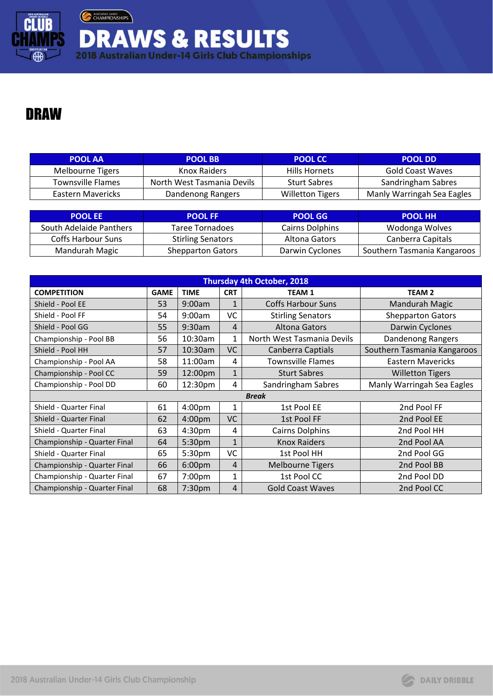

Australian Junior **DRAWS & RESULTS**<br>2018 Australian Under-14 Girls Club Championships

## DRAW

| <b>POOL AA</b>    | <b>POOL BB</b>             | <b>POOL CC</b>          | <b>POOL DD</b>             |
|-------------------|----------------------------|-------------------------|----------------------------|
| Melbourne Tigers  | Knox Raiders               | Hills Hornets           | Gold Coast Waves           |
| Townsville Flames | North West Tasmania Devils | <b>Sturt Sabres</b>     | Sandringham Sabres         |
| Eastern Mavericks | Dandenong Rangers          | <b>Willetton Tigers</b> | Manly Warringah Sea Eagles |

| <b>POOL EE</b>          | <b>POOL FF</b>           | <b>POOL GG</b>  | <b>POOL HH</b>              |
|-------------------------|--------------------------|-----------------|-----------------------------|
| South Adelaide Panthers | Taree Tornadoes          | Cairns Dolphins | Wodonga Wolves              |
| Coffs Harbour Suns      | <b>Stirling Senators</b> | Altona Gators   | Canberra Capitals           |
| Mandurah Magic          | <b>Shepparton Gators</b> | Darwin Cyclones | Southern Tasmania Kangaroos |

| <b>Thursday 4th October, 2018</b> |             |                    |                |                            |                             |  |  |
|-----------------------------------|-------------|--------------------|----------------|----------------------------|-----------------------------|--|--|
| <b>COMPETITION</b>                | <b>GAME</b> | <b>TIME</b>        | <b>CRT</b>     | <b>TEAM1</b>               | <b>TEAM 2</b>               |  |  |
| Shield - Pool EE                  | 53          | 9:00am             | $\mathbf{1}$   | <b>Coffs Harbour Suns</b>  | Mandurah Magic              |  |  |
| Shield - Pool FF                  | 54          | 9:00am             | VC             | <b>Stirling Senators</b>   | <b>Shepparton Gators</b>    |  |  |
| Shield - Pool GG                  | 55          | 9:30am             | $\overline{4}$ | Altona Gators              | Darwin Cyclones             |  |  |
| Championship - Pool BB            | 56          | 10:30am            | 1              | North West Tasmania Devils | Dandenong Rangers           |  |  |
| Shield - Pool HH                  | 57          | 10:30am            | VC             | Canberra Captials          | Southern Tasmania Kangaroos |  |  |
| Championship - Pool AA            | 58          | 11:00am            | 4              | <b>Townsville Flames</b>   | <b>Eastern Mavericks</b>    |  |  |
| Championship - Pool CC            | 59          | 12:00pm            | 1              | <b>Sturt Sabres</b>        | <b>Willetton Tigers</b>     |  |  |
| Championship - Pool DD            | 60          | 12:30pm            | 4              | Sandringham Sabres         | Manly Warringah Sea Eagles  |  |  |
|                                   |             |                    |                | <b>Break</b>               |                             |  |  |
| Shield - Quarter Final            | 61          | 4:00 <sub>pm</sub> | 1              | 1st Pool EE                | 2nd Pool FF                 |  |  |
| Shield - Quarter Final            | 62          | 4:00pm             | <b>VC</b>      | 1st Pool FF                | 2nd Pool EE                 |  |  |
| Shield - Quarter Final            | 63          | 4:30pm             | 4              | <b>Cairns Dolphins</b>     | 2nd Pool HH                 |  |  |
| Championship - Quarter Final      | 64          | 5:30pm             | $\mathbf{1}$   | <b>Knox Raiders</b>        | 2nd Pool AA                 |  |  |
| Shield - Quarter Final            | 65          | 5:30pm             | VC             | 1st Pool HH                | 2nd Pool GG                 |  |  |
| Championship - Quarter Final      | 66          | 6:00pm             | 4              | <b>Melbourne Tigers</b>    | 2nd Pool BB                 |  |  |
| Championship - Quarter Final      | 67          | 7:00pm             | 1              | 1st Pool CC                | 2nd Pool DD                 |  |  |
| Championship - Quarter Final      | 68          | 7:30pm             | 4              | <b>Gold Coast Waves</b>    | 2nd Pool CC                 |  |  |

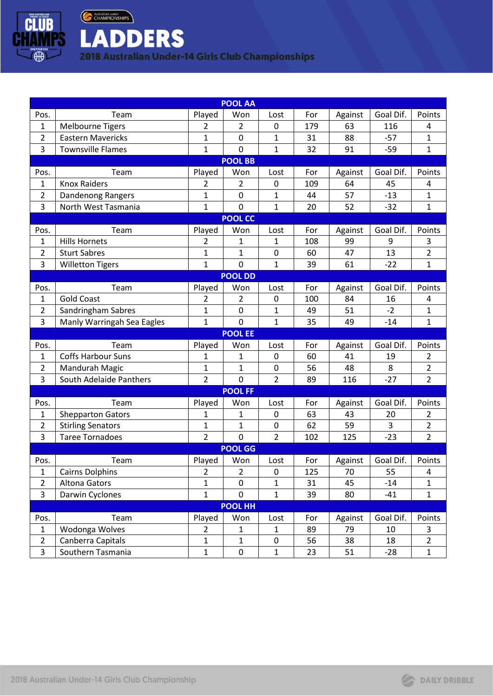

Australian Junior **LADDERS** 

2018 Australian Under-14 Girls Club Championships

| <b>POOL AA</b> |                            |                |                |                |     |         |           |                |
|----------------|----------------------------|----------------|----------------|----------------|-----|---------|-----------|----------------|
| Pos.           | Team                       | Played         | Won            | Lost           | For | Against | Goal Dif. | Points         |
| 1              | <b>Melbourne Tigers</b>    | 2              | 2              | 0              | 179 | 63      | 116       | 4              |
| $\overline{2}$ | <b>Eastern Mavericks</b>   | 1              | $\mathbf 0$    | 1              | 31  | 88      | $-57$     | 1              |
| 3              | <b>Townsville Flames</b>   | $\mathbf 1$    | $\mathbf 0$    | 1              | 32  | 91      | $-59$     | $\mathbf{1}$   |
|                |                            |                | <b>POOL BB</b> |                |     |         |           |                |
| Pos.           | Team                       | Played         | Won            | Lost           | For | Against | Goal Dif. | Points         |
| 1              | <b>Knox Raiders</b>        | 2              | 2              | 0              | 109 | 64      | 45        | 4              |
| 2              | Dandenong Rangers          | 1              | $\mathbf 0$    | 1              | 44  | 57      | $-13$     | 1              |
| 3              | North West Tasmania        | 1              | $\mathbf 0$    | 1              | 20  | 52      | $-32$     | $\mathbf{1}$   |
|                |                            |                | <b>POOL CC</b> |                |     |         |           |                |
| Pos.           | Team                       | Played         | Won            | Lost           | For | Against | Goal Dif. | Points         |
| $\mathbf 1$    | <b>Hills Hornets</b>       | $\overline{2}$ | $\mathbf{1}$   | 1              | 108 | 99      | 9         | 3              |
| 2              | <b>Sturt Sabres</b>        | 1              | 1              | 0              | 60  | 47      | 13        | $\overline{2}$ |
| 3              | <b>Willetton Tigers</b>    | $\mathbf{1}$   | $\mathbf 0$    | 1              | 39  | 61      | $-22$     | $\mathbf{1}$   |
|                |                            |                | <b>POOL DD</b> |                |     |         |           |                |
| Pos.           | Team                       | Played         | Won            | Lost           | For | Against | Goal Dif. | Points         |
| 1              | <b>Gold Coast</b>          | 2              | 2              | 0              | 100 | 84      | 16        | 4              |
| $\overline{2}$ | Sandringham Sabres         | 1              | $\pmb{0}$      | 1              | 49  | 51      | $-2$      | 1              |
| 3              | Manly Warringah Sea Eagles | $\mathbf{1}$   | $\mathbf 0$    | $\mathbf 1$    | 35  | 49      | $-14$     | $\mathbf{1}$   |
|                |                            |                | <b>POOL EE</b> |                |     |         |           |                |
| Pos.           | Team                       | Played         | Won            | Lost           | For | Against | Goal Dif. | Points         |
| 1              | <b>Coffs Harbour Suns</b>  | $\mathbf{1}$   | $\mathbf{1}$   | 0              | 60  | 41      | 19        | $\overline{2}$ |
| 2              | Mandurah Magic             | 1              | $\mathbf{1}$   | 0              | 56  | 48      | 8         | $\overline{2}$ |
| 3              | South Adelaide Panthers    | $\overline{2}$ | $\mathbf 0$    | $\overline{2}$ | 89  | 116     | $-27$     | $\overline{2}$ |
|                |                            |                | <b>POOL FF</b> |                |     |         |           |                |
| Pos.           | Team                       | Played         | Won            | Lost           | For | Against | Goal Dif. | Points         |
| 1              | <b>Shepparton Gators</b>   | 1              | 1              | 0              | 63  | 43      | 20        | 2              |
| 2              | <b>Stirling Senators</b>   | 1              | 1              | 0              | 62  | 59      | 3         | 2              |
| 3              | <b>Taree Tornadoes</b>     | $\overline{2}$ | $\mathbf 0$    | $\overline{2}$ | 102 | 125     | $-23$     | $\overline{2}$ |
| <b>POOL GG</b> |                            |                |                |                |     |         |           |                |
| Pos.           | Team                       | Played         | Won            | Lost           | For | Against | Goal Dif. | Points         |
| $\mathbf 1$    | <b>Cairns Dolphins</b>     | 2              | $\overline{2}$ | $\pmb{0}$      | 125 | 70      | 55        | 4              |
| $\overline{2}$ | <b>Altona Gators</b>       | 1              | $\mathbf 0$    | 1              | 31  | 45      | $-14$     | 1              |
| 3              | Darwin Cyclones            | $\mathbf{1}$   | $\mathbf 0$    | $\mathbf{1}$   | 39  | 80      | $-41$     | $\mathbf{1}$   |
| <b>POOL HH</b> |                            |                |                |                |     |         |           |                |
| Pos.           | Team                       | Played         | Won            | Lost           | For | Against | Goal Dif. | Points         |
| 1              | Wodonga Wolves             | $\overline{2}$ | $\mathbf{1}$   | $\mathbf{1}$   | 89  | 79      | 10        | 3              |
| $\overline{2}$ | Canberra Capitals          | 1              | $\mathbf 1$    | $\pmb{0}$      | 56  | 38      | 18        | $\overline{2}$ |
| 3              | Southern Tasmania          | $\mathbf{1}$   | $\pmb{0}$      | $\mathbf{1}$   | 23  | 51      | $-28$     | $\mathbf{1}$   |